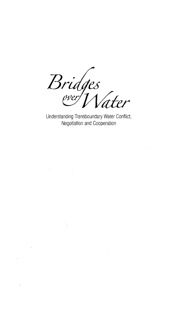Bridges<br>ever[Nater

Understanding Transboundary Water Conflict, Negotiation and Cooperation